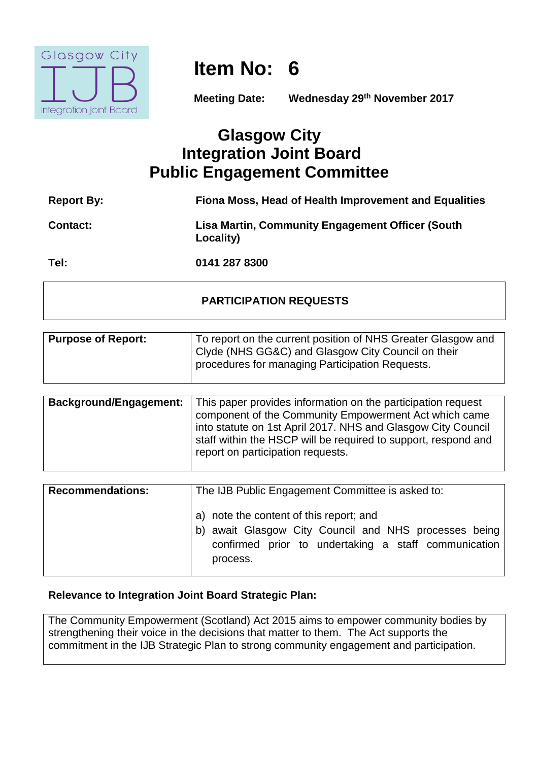

# **Item No: 6**

**Meeting Date: Wednesday 29th November 2017**

# **Glasgow City Integration Joint Board Public Engagement Committee**

| <b>Report By:</b> | Fiona Moss, Head of Health Improvement and Equalities                |
|-------------------|----------------------------------------------------------------------|
| <b>Contact:</b>   | <b>Lisa Martin, Community Engagement Officer (South</b><br>Locality) |
| Tel:              | 0141 287 8300                                                        |

### **PARTICIPATION REQUESTS**

| <b>Purpose of Report:</b> | To report on the current position of NHS Greater Glasgow and<br>  Clyde (NHS GG&C) and Glasgow City Council on their<br>procedures for managing Participation Requests. |
|---------------------------|-------------------------------------------------------------------------------------------------------------------------------------------------------------------------|
|                           |                                                                                                                                                                         |

| <b>Background/Engagement:</b> | This paper provides information on the participation request<br>component of the Community Empowerment Act which came<br>into statute on 1st April 2017. NHS and Glasgow City Council<br>staff within the HSCP will be required to support, respond and<br>report on participation requests. |
|-------------------------------|----------------------------------------------------------------------------------------------------------------------------------------------------------------------------------------------------------------------------------------------------------------------------------------------|
|                               |                                                                                                                                                                                                                                                                                              |
| <b>Recommendations:</b>       | The IJB Public Engagement Committee is asked to:                                                                                                                                                                                                                                             |
|                               |                                                                                                                                                                                                                                                                                              |

|  |          |  | a) note the content of this report; and |  |                                                       |  |
|--|----------|--|-----------------------------------------|--|-------------------------------------------------------|--|
|  |          |  |                                         |  | b) await Glasgow City Council and NHS processes being |  |
|  | process. |  |                                         |  | confirmed prior to undertaking a staff communication  |  |

## **Relevance to Integration Joint Board Strategic Plan:**

The Community Empowerment (Scotland) Act 2015 aims to empower community bodies by strengthening their voice in the decisions that matter to them. The Act supports the commitment in the IJB Strategic Plan to strong community engagement and participation.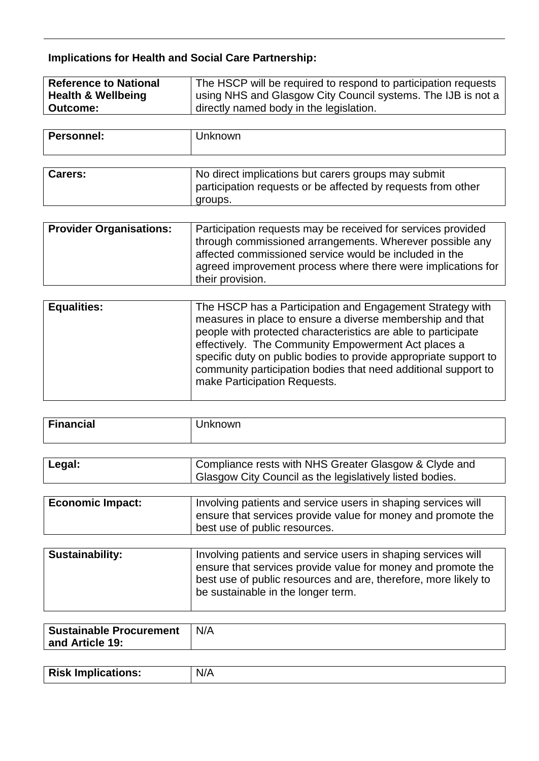# **Implications for Health and Social Care Partnership:**

| <b>Reference to National</b>  | The HSCP will be required to respond to participation requests |
|-------------------------------|----------------------------------------------------------------|
| <b>Health &amp; Wellbeing</b> | using NHS and Glasgow City Council systems. The IJB is not a   |
| <b>Outcome:</b>               | directly named body in the legislation.                        |

| Personnel: | Jnknown |
|------------|---------|
|            |         |

| <b>Carers:</b> | No direct implications but carers groups may submit          |
|----------------|--------------------------------------------------------------|
|                | participation requests or be affected by requests from other |
|                | groups.                                                      |

| <b>Provider Organisations:</b> | Participation requests may be received for services provided<br>through commissioned arrangements. Wherever possible any<br>affected commissioned service would be included in the<br>agreed improvement process where there were implications for |
|--------------------------------|----------------------------------------------------------------------------------------------------------------------------------------------------------------------------------------------------------------------------------------------------|
|                                | their provision.                                                                                                                                                                                                                                   |

| <b>Equalities:</b> | The HSCP has a Participation and Engagement Strategy with<br>measures in place to ensure a diverse membership and that<br>people with protected characteristics are able to participate<br>effectively. The Community Empowerment Act places a<br>specific duty on public bodies to provide appropriate support to<br>community participation bodies that need additional support to<br>make Participation Requests. |
|--------------------|----------------------------------------------------------------------------------------------------------------------------------------------------------------------------------------------------------------------------------------------------------------------------------------------------------------------------------------------------------------------------------------------------------------------|
|                    |                                                                                                                                                                                                                                                                                                                                                                                                                      |

| <b>Financial</b> | known |
|------------------|-------|
|                  |       |

| Legal:                  | Compliance rests with NHS Greater Glasgow & Clyde and<br>Glasgow City Council as the legislatively listed bodies.                                              |
|-------------------------|----------------------------------------------------------------------------------------------------------------------------------------------------------------|
|                         |                                                                                                                                                                |
| <b>Economic Impact:</b> | Involving patients and service users in shaping services will<br>ensure that services provide value for money and promote the<br>best use of public resources. |

| <b>Sustainability:</b> | Involving patients and service users in shaping services will<br>ensure that services provide value for money and promote the<br>best use of public resources and are, therefore, more likely to |
|------------------------|--------------------------------------------------------------------------------------------------------------------------------------------------------------------------------------------------|
|                        | be sustainable in the longer term.                                                                                                                                                               |

| <b>Sustainable Procurement</b> | N/A |
|--------------------------------|-----|
| and Article 19:                |     |
|                                |     |

| <b>Risk Implications:</b> | N/A |
|---------------------------|-----|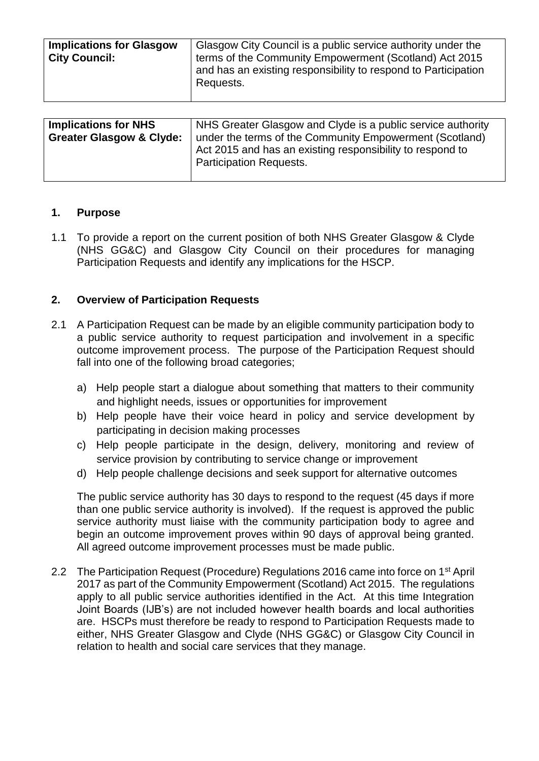| <b>Implications for Glasgow</b> | Glasgow City Council is a public service authority under the<br>terms of the Community Empowerment (Scotland) Act 2015 |
|---------------------------------|------------------------------------------------------------------------------------------------------------------------|
| <b>City Council:</b>            | and has an existing responsibility to respond to Participation                                                         |
|                                 | Requests.                                                                                                              |
|                                 |                                                                                                                        |

| <b>Implications for NHS</b>         | NHS Greater Glasgow and Clyde is a public service authority |
|-------------------------------------|-------------------------------------------------------------|
| <b>Greater Glasgow &amp; Clyde:</b> | under the terms of the Community Empowerment (Scotland)     |
|                                     | Act 2015 and has an existing responsibility to respond to   |
|                                     | Participation Requests.                                     |
|                                     |                                                             |

#### **1. Purpose**

1.1 To provide a report on the current position of both NHS Greater Glasgow & Clyde (NHS GG&C) and Glasgow City Council on their procedures for managing Participation Requests and identify any implications for the HSCP.

#### **2. Overview of Participation Requests**

- 2.1 A Participation Request can be made by an eligible community participation body to a public service authority to request participation and involvement in a specific outcome improvement process. The purpose of the Participation Request should fall into one of the following broad categories;
	- a) Help people start a dialogue about something that matters to their community and highlight needs, issues or opportunities for improvement
	- b) Help people have their voice heard in policy and service development by participating in decision making processes
	- c) Help people participate in the design, delivery, monitoring and review of service provision by contributing to service change or improvement
	- d) Help people challenge decisions and seek support for alternative outcomes

The public service authority has 30 days to respond to the request (45 days if more than one public service authority is involved). If the request is approved the public service authority must liaise with the community participation body to agree and begin an outcome improvement proves within 90 days of approval being granted. All agreed outcome improvement processes must be made public.

2.2 The Participation Request (Procedure) Regulations 2016 came into force on 1<sup>st</sup> April 2017 as part of the Community Empowerment (Scotland) Act 2015. The regulations apply to all public service authorities identified in the Act. At this time Integration Joint Boards (IJB's) are not included however health boards and local authorities are. HSCPs must therefore be ready to respond to Participation Requests made to either, NHS Greater Glasgow and Clyde (NHS GG&C) or Glasgow City Council in relation to health and social care services that they manage.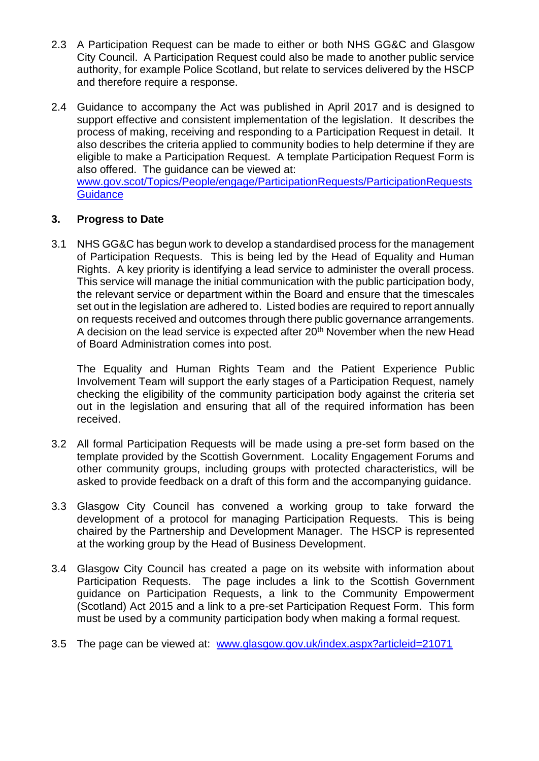- 2.3 A Participation Request can be made to either or both NHS GG&C and Glasgow City Council. A Participation Request could also be made to another public service authority, for example Police Scotland, but relate to services delivered by the HSCP and therefore require a response.
- 2.4 Guidance to accompany the Act was published in April 2017 and is designed to support effective and consistent implementation of the legislation. It describes the process of making, receiving and responding to a Participation Request in detail. It also describes the criteria applied to community bodies to help determine if they are eligible to make a Participation Request. A template Participation Request Form is also offered. The guidance can be viewed at: [www.gov.scot/Topics/People/engage/ParticipationRequests/ParticipationRequests](http://www.gov.scot/Topics/People/engage/ParticipationRequests/ParticipationRequestsGuidance) **[Guidance](http://www.gov.scot/Topics/People/engage/ParticipationRequests/ParticipationRequestsGuidance)**

#### **3. Progress to Date**

3.1 NHS GG&C has begun work to develop a standardised process for the management of Participation Requests. This is being led by the Head of Equality and Human Rights. A key priority is identifying a lead service to administer the overall process. This service will manage the initial communication with the public participation body, the relevant service or department within the Board and ensure that the timescales set out in the legislation are adhered to. Listed bodies are required to report annually on requests received and outcomes through there public governance arrangements. A decision on the lead service is expected after 20<sup>th</sup> November when the new Head of Board Administration comes into post.

The Equality and Human Rights Team and the Patient Experience Public Involvement Team will support the early stages of a Participation Request, namely checking the eligibility of the community participation body against the criteria set out in the legislation and ensuring that all of the required information has been received.

- 3.2 All formal Participation Requests will be made using a pre-set form based on the template provided by the Scottish Government. Locality Engagement Forums and other community groups, including groups with protected characteristics, will be asked to provide feedback on a draft of this form and the accompanying guidance.
- 3.3 Glasgow City Council has convened a working group to take forward the development of a protocol for managing Participation Requests. This is being chaired by the Partnership and Development Manager. The HSCP is represented at the working group by the Head of Business Development.
- 3.4 Glasgow City Council has created a page on its website with information about Participation Requests. The page includes a link to the Scottish Government guidance on Participation Requests, a link to the Community Empowerment (Scotland) Act 2015 and a link to a pre-set Participation Request Form. This form must be used by a community participation body when making a formal request.
- 3.5 The page can be viewed at: [www.glasgow.gov.uk/index.aspx?articleid=21071](http://www.glasgow.gov.uk/index.aspx?articleid=21071)